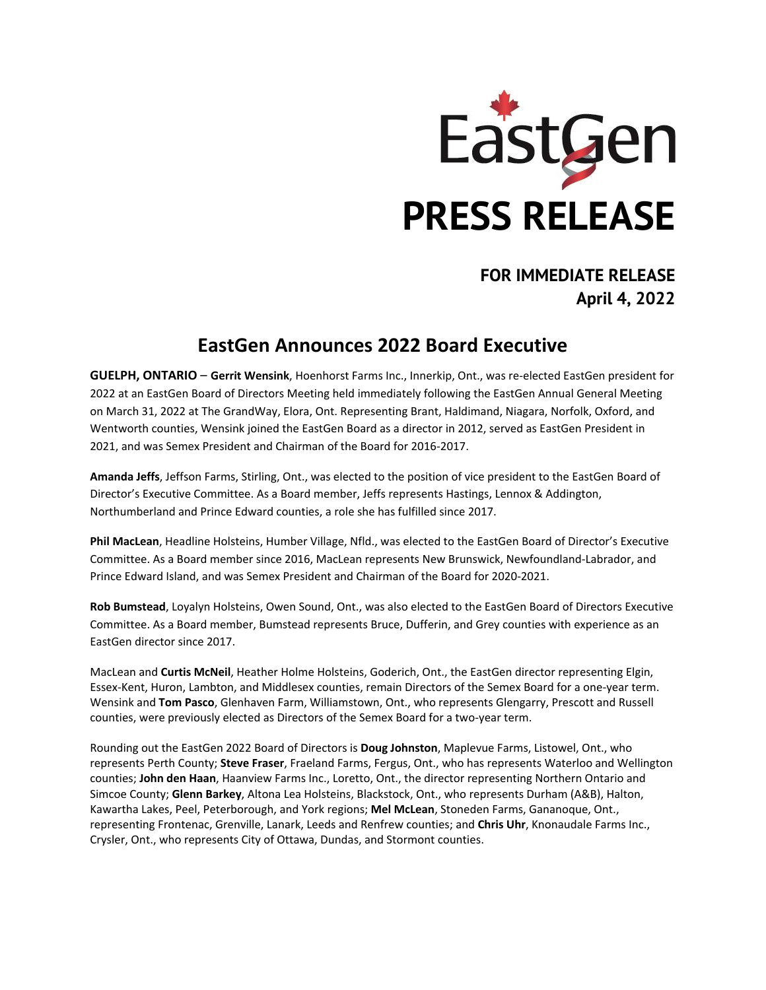

## **FOR IMMEDIATE RELEASE April 4, 2022**

## **EastGen Announces 2022 Board Executive**

**GUELPH, ONTARIO** – **Gerrit Wensink**, Hoenhorst Farms Inc., Innerkip, Ont., was re-elected EastGen president for 2022 at an EastGen Board of Directors Meeting held immediately following the EastGen Annual General Meeting on March 31, 2022 at The GrandWay, Elora, Ont. Representing Brant, Haldimand, Niagara, Norfolk, Oxford, and Wentworth counties, Wensink joined the EastGen Board as a director in 2012, served as EastGen President in 2021, and was Semex President and Chairman of the Board for 2016-2017.

**Amanda Jeffs**, Jeffson Farms, Stirling, Ont., was elected to the position of vice president to the EastGen Board of Director's Executive Committee. As a Board member, Jeffs represents Hastings, Lennox & Addington, Northumberland and Prince Edward counties, a role she has fulfilled since 2017.

**Phil MacLean**, Headline Holsteins, Humber Village, Nfld., was elected to the EastGen Board of Director's Executive Committee. As a Board member since 2016, MacLean represents New Brunswick, Newfoundland-Labrador, and Prince Edward Island, and was Semex President and Chairman of the Board for 2020-2021.

**Rob Bumstead**, Loyalyn Holsteins, Owen Sound, Ont., was also elected to the EastGen Board of Directors Executive Committee. As a Board member, Bumstead represents Bruce, Dufferin, and Grey counties with experience as an EastGen director since 2017.

MacLean and **Curtis McNeil**, Heather Holme Holsteins, Goderich, Ont., the EastGen director representing Elgin, Essex-Kent, Huron, Lambton, and Middlesex counties, remain Directors of the Semex Board for a one-year term. Wensink and **Tom Pasco**, Glenhaven Farm, Williamstown, Ont., who represents Glengarry, Prescott and Russell counties, were previously elected as Directors of the Semex Board for a two-year term.

Rounding out the EastGen 2022 Board of Directors is **Doug Johnston**, Maplevue Farms, Listowel, Ont., who represents Perth County; **Steve Fraser**, Fraeland Farms, Fergus, Ont., who has represents Waterloo and Wellington counties; **John den Haan**, Haanview Farms Inc., Loretto, Ont., the director representing Northern Ontario and Simcoe County; **Glenn Barkey**, Altona Lea Holsteins, Blackstock, Ont., who represents Durham (A&B), Halton, Kawartha Lakes, Peel, Peterborough, and York regions; **Mel McLean**, Stoneden Farms, Gananoque, Ont., representing Frontenac, Grenville, Lanark, Leeds and Renfrew counties; and **Chris Uhr**, Knonaudale Farms Inc., Crysler, Ont., who represents City of Ottawa, Dundas, and Stormont counties.